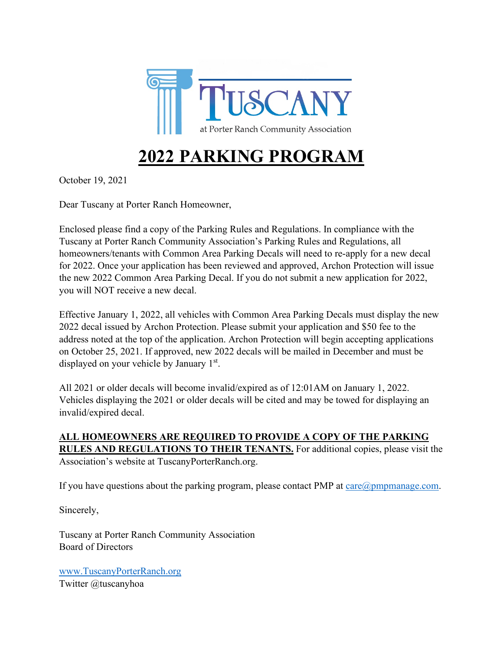

# **2022 PARKING PROGRAM**

October 19, 2021

Dear Tuscany at Porter Ranch Homeowner,

Enclosed please find a copy of the Parking Rules and Regulations. In compliance with the Tuscany at Porter Ranch Community Association's Parking Rules and Regulations, all homeowners/tenants with Common Area Parking Decals will need to re-apply for a new decal for 2022. Once your application has been reviewed and approved, Archon Protection will issue the new 2022 Common Area Parking Decal. If you do not submit a new application for 2022, you will NOT receive a new decal.

Effective January 1, 2022, all vehicles with Common Area Parking Decals must display the new 2022 decal issued by Archon Protection. Please submit your application and \$50 fee to the address noted at the top of the application. Archon Protection will begin accepting applications on October 25, 2021. If approved, new 2022 decals will be mailed in December and must be displayed on your vehicle by January 1<sup>st</sup>.

All 2021 or older decals will become invalid/expired as of 12:01AM on January 1, 2022. Vehicles displaying the 2021 or older decals will be cited and may be towed for displaying an invalid/expired decal.

**ALL HOMEOWNERS ARE REQUIRED TO PROVIDE A COPY OF THE PARKING RULES AND REGULATIONS TO THEIR TENANTS.** For additional copies, please visit the Association's website at TuscanyPorterRanch.org.

If you have questions about the parking program, please contact PMP at  $care@pmpmanage.com$ .

Sincerely,

Tuscany at Porter Ranch Community Association Board of Directors

[www.TuscanyPorterRanch.org](http://www.tuscanyporterranch.org/) Twitter @tuscanyhoa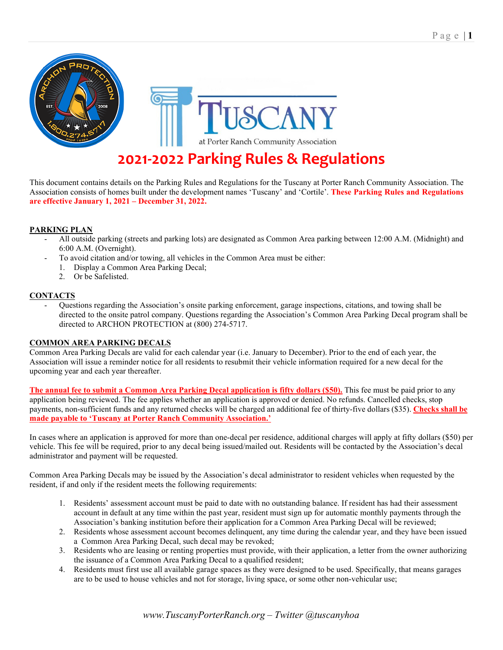

## **2021-2022 Parking Rules & Regulations**

This document contains details on the Parking Rules and Regulations for the Tuscany at Porter Ranch Community Association. The Association consists of homes built under the development names 'Tuscany' and 'Cortile'. **These Parking Rules and Regulations are effective January 1, 2021 – December 31, 2022.**

## **PARKING PLAN**

- All outside parking (streets and parking lots) are designated as Common Area parking between 12:00 A.M. (Midnight) and 6:00 A.M. (Overnight).
- To avoid citation and/or towing, all vehicles in the Common Area must be either:
	- 1. Display a Common Area Parking Decal;
		- 2. Or be Safelisted.

#### **CONTACTS**

- Questions regarding the Association's onsite parking enforcement, garage inspections, citations, and towing shall be directed to the onsite patrol company. Questions regarding the Association's Common Area Parking Decal program shall be directed to ARCHON PROTECTION at (800) 274-5717.

#### **COMMON AREA PARKING DECALS**

Common Area Parking Decals are valid for each calendar year (i.e. January to December). Prior to the end of each year, the Association will issue a reminder notice for all residents to resubmit their vehicle information required for a new decal for the upcoming year and each year thereafter.

**The annual fee to submit a Common Area Parking Decal application is fifty dollars (\$50).** This fee must be paid prior to any application being reviewed. The fee applies whether an application is approved or denied. No refunds. Cancelled checks, stop payments, non-sufficient funds and any returned checks will be charged an additional fee of thirty-five dollars (\$35). **Checks shall be made payable to 'Tuscany at Porter Ranch Community Association.'**

In cases where an application is approved for more than one-decal per residence, additional charges will apply at fifty dollars (\$50) per vehicle. This fee will be required, prior to any decal being issued/mailed out. Residents will be contacted by the Association's decal administrator and payment will be requested.

Common Area Parking Decals may be issued by the Association's decal administrator to resident vehicles when requested by the resident, if and only if the resident meets the following requirements:

- 1. Residents' assessment account must be paid to date with no outstanding balance. If resident has had their assessment account in default at any time within the past year, resident must sign up for automatic monthly payments through the Association's banking institution before their application for a Common Area Parking Decal will be reviewed;
- 2. Residents whose assessment account becomes delinquent, any time during the calendar year, and they have been issued a Common Area Parking Decal, such decal may be revoked;
- 3. Residents who are leasing or renting properties must provide, with their application, a letter from the owner authorizing the issuance of a Common Area Parking Decal to a qualified resident;
- 4. Residents must first use all available garage spaces as they were designed to be used. Specifically, that means garages are to be used to house vehicles and not for storage, living space, or some other non-vehicular use;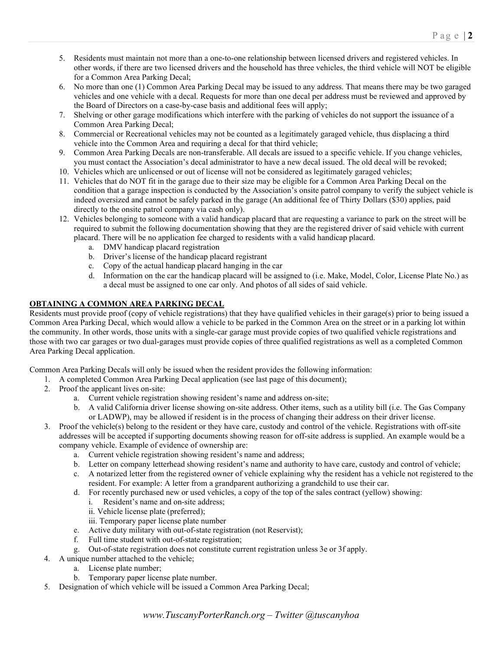- 5. Residents must maintain not more than a one-to-one relationship between licensed drivers and registered vehicles. In other words, if there are two licensed drivers and the household has three vehicles, the third vehicle will NOT be eligible for a Common Area Parking Decal;
- 6. No more than one (1) Common Area Parking Decal may be issued to any address. That means there may be two garaged vehicles and one vehicle with a decal. Requests for more than one decal per address must be reviewed and approved by the Board of Directors on a case-by-case basis and additional fees will apply;
- 7. Shelving or other garage modifications which interfere with the parking of vehicles do not support the issuance of a Common Area Parking Decal;
- 8. Commercial or Recreational vehicles may not be counted as a legitimately garaged vehicle, thus displacing a third vehicle into the Common Area and requiring a decal for that third vehicle;
- 9. Common Area Parking Decals are non-transferable. All decals are issued to a specific vehicle. If you change vehicles, you must contact the Association's decal administrator to have a new decal issued. The old decal will be revoked;
- 10. Vehicles which are unlicensed or out of license will not be considered as legitimately garaged vehicles;
- 11. Vehicles that do NOT fit in the garage due to their size may be eligible for a Common Area Parking Decal on the condition that a garage inspection is conducted by the Association's onsite patrol company to verify the subject vehicle is indeed oversized and cannot be safely parked in the garage (An additional fee of Thirty Dollars (\$30) applies, paid directly to the onsite patrol company via cash only).
- 12. Vehicles belonging to someone with a valid handicap placard that are requesting a variance to park on the street will be required to submit the following documentation showing that they are the registered driver of said vehicle with current placard. There will be no application fee charged to residents with a valid handicap placard.
	- a. DMV handicap placard registration
	- b. Driver's license of the handicap placard registrant
	- c. Copy of the actual handicap placard hanging in the car
	- d. Information on the car the handicap placard will be assigned to (i.e. Make, Model, Color, License Plate No.) as a decal must be assigned to one car only. And photos of all sides of said vehicle.

## **OBTAINING A COMMON AREA PARKING DECAL**

Residents must provide proof (copy of vehicle registrations) that they have qualified vehicles in their garage(s) prior to being issued a Common Area Parking Decal, which would allow a vehicle to be parked in the Common Area on the street or in a parking lot within the community. In other words, those units with a single-car garage must provide copies of two qualified vehicle registrations and those with two car garages or two dual-garages must provide copies of three qualified registrations as well as a completed Common Area Parking Decal application.

Common Area Parking Decals will only be issued when the resident provides the following information:

- 1. A completed Common Area Parking Decal application (see last page of this document);
- 2. Proof the applicant lives on-site:
	- a. Current vehicle registration showing resident's name and address on-site;
	- b. A valid California driver license showing on-site address. Other items, such as a utility bill (i.e. The Gas Company or LADWP), may be allowed if resident is in the process of changing their address on their driver license.
- 3. Proof the vehicle(s) belong to the resident or they have care, custody and control of the vehicle. Registrations with off-site addresses will be accepted if supporting documents showing reason for off-site address is supplied. An example would be a company vehicle. Example of evidence of ownership are:
	- a. Current vehicle registration showing resident's name and address;
	- b. Letter on company letterhead showing resident's name and authority to have care, custody and control of vehicle;
	- c. A notarized letter from the registered owner of vehicle explaining why the resident has a vehicle not registered to the resident. For example: A letter from a grandparent authorizing a grandchild to use their car.
	- d. For recently purchased new or used vehicles, a copy of the top of the sales contract (yellow) showing:
		- i. Resident's name and on-site address;
		- ii. Vehicle license plate (preferred);
		- iii. Temporary paper license plate number
	- e. Active duty military with out-of-state registration (not Reservist);
	- f. Full time student with out-of-state registration;
	- g. Out-of-state registration does not constitute current registration unless 3e or 3f apply.
- 4. A unique number attached to the vehicle;
	- a. License plate number;
	- b. Temporary paper license plate number.
- 5. Designation of which vehicle will be issued a Common Area Parking Decal;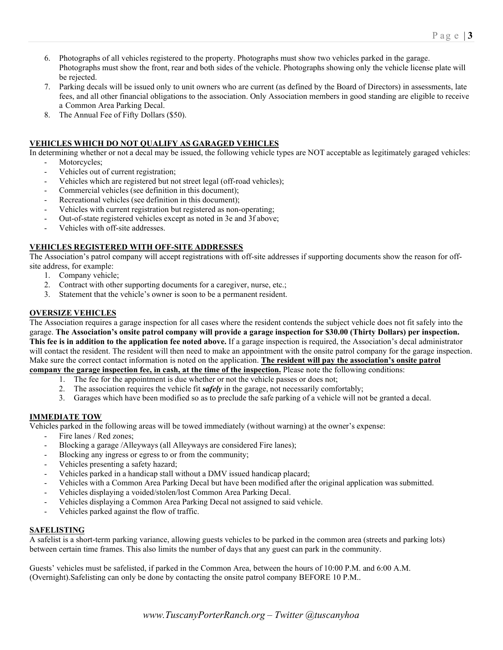- 6. Photographs of all vehicles registered to the property. Photographs must show two vehicles parked in the garage. Photographs must show the front, rear and both sides of the vehicle. Photographs showing only the vehicle license plate will be rejected.
- 7. Parking decals will be issued only to unit owners who are current (as defined by the Board of Directors) in assessments, late fees, and all other financial obligations to the association. Only Association members in good standing are eligible to receive a Common Area Parking Decal.
- 8. The Annual Fee of Fifty Dollars (\$50).

## **VEHICLES WHICH DO NOT QUALIFY AS GARAGED VEHICLES**

In determining whether or not a decal may be issued, the following vehicle types are NOT acceptable as legitimately garaged vehicles:

- Motorcycles;
- Vehicles out of current registration;
- Vehicles which are registered but not street legal (off-road vehicles);
- Commercial vehicles (see definition in this document);
- Recreational vehicles (see definition in this document);
- Vehicles with current registration but registered as non-operating;
- Out-of-state registered vehicles except as noted in 3e and 3f above;
- Vehicles with off-site addresses.

## **VEHICLES REGISTERED WITH OFF-SITE ADDRESSES**

The Association's patrol company will accept registrations with off-site addresses if supporting documents show the reason for offsite address, for example:

- 1. Company vehicle;
- 2. Contract with other supporting documents for a caregiver, nurse, etc.;
- 3. Statement that the vehicle's owner is soon to be a permanent resident.

## **OVERSIZE VEHICLES**

The Association requires a garage inspection for all cases where the resident contends the subject vehicle does not fit safely into the garage. **The Association's onsite patrol company will provide a garage inspection for \$30.00 (Thirty Dollars) per inspection. This fee is in addition to the application fee noted above.** If a garage inspection is required, the Association's decal administrator will contact the resident. The resident will then need to make an appointment with the onsite patrol company for the garage inspection. Make sure the correct contact information is noted on the application. **The resident will pay the association's onsite patrol company the garage inspection fee, in cash, at the time of the inspection.** Please note the following conditions:

- 1. The fee for the appointment is due whether or not the vehicle passes or does not;
- 2. The association requires the vehicle fit *safely* in the garage, not necessarily comfortably;
- 3. Garages which have been modified so as to preclude the safe parking of a vehicle will not be granted a decal.

## **IMMEDIATE TOW**

Vehicles parked in the following areas will be towed immediately (without warning) at the owner's expense:

- Fire lanes / Red zones:
- Blocking a garage /Alleyways (all Alleyways are considered Fire lanes);
- Blocking any ingress or egress to or from the community;
- Vehicles presenting a safety hazard;
- Vehicles parked in a handicap stall without a DMV issued handicap placard;
- Vehicles with a Common Area Parking Decal but have been modified after the original application was submitted.
- Vehicles displaying a voided/stolen/lost Common Area Parking Decal.
- Vehicles displaying a Common Area Parking Decal not assigned to said vehicle.
- Vehicles parked against the flow of traffic.

## **SAFELISTING**

A safelist is a short-term parking variance, allowing guests vehicles to be parked in the common area (streets and parking lots) between certain time frames. This also limits the number of days that any guest can park in the community.

Guests' vehicles must be safelisted, if parked in the Common Area, between the hours of 10:00 P.M. and 6:00 A.M. (Overnight).Safelisting can only be done by contacting the onsite patrol company BEFORE 10 P.M..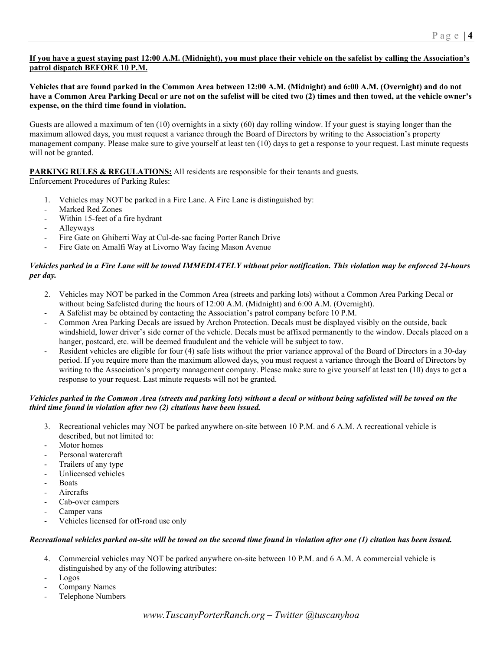## **If you have a guest staying past 12:00 A.M. (Midnight), you must place their vehicle on the safelist by calling the Association's patrol dispatch BEFORE 10 P.M.**

## **Vehicles that are found parked in the Common Area between 12:00 A.M. (Midnight) and 6:00 A.M. (Overnight) and do not have a Common Area Parking Decal or are not on the safelist will be cited two (2) times and then towed, at the vehicle owner's expense, on the third time found in violation.**

Guests are allowed a maximum of ten (10) overnights in a sixty (60) day rolling window. If your guest is staying longer than the maximum allowed days, you must request a variance through the Board of Directors by writing to the Association's property management company. Please make sure to give yourself at least ten (10) days to get a response to your request. Last minute requests will not be granted.

## **PARKING RULES & REGULATIONS:** All residents are responsible for their tenants and guests.

Enforcement Procedures of Parking Rules:

- 1. Vehicles may NOT be parked in a Fire Lane. A Fire Lane is distinguished by:
- Marked Red Zones
- Within 15-feet of a fire hydrant
- Alleyways
- Fire Gate on Ghiberti Way at Cul-de-sac facing Porter Ranch Drive
- Fire Gate on Amalfi Way at Livorno Way facing Mason Avenue

## *Vehicles parked in a Fire Lane will be towed IMMEDIATELY without prior notification. This violation may be enforced 24-hours per day.*

- 2. Vehicles may NOT be parked in the Common Area (streets and parking lots) without a Common Area Parking Decal or without being Safelisted during the hours of 12:00 A.M. (Midnight) and 6:00 A.M. (Overnight).
- A Safelist may be obtained by contacting the Association's patrol company before 10 P.M.
- Common Area Parking Decals are issued by Archon Protection. Decals must be displayed visibly on the outside, back windshield, lower driver's side corner of the vehicle. Decals must be affixed permanently to the window. Decals placed on a hanger, postcard, etc. will be deemed fraudulent and the vehicle will be subject to tow.
- Resident vehicles are eligible for four (4) safe lists without the prior variance approval of the Board of Directors in a 30-day period. If you require more than the maximum allowed days, you must request a variance through the Board of Directors by writing to the Association's property management company. Please make sure to give yourself at least ten (10) days to get a response to your request. Last minute requests will not be granted.

## *Vehicles parked in the Common Area (streets and parking lots) without a decal or without being safelisted will be towed on the third time found in violation after two (2) citations have been issued.*

- 3. Recreational vehicles may NOT be parked anywhere on-site between 10 P.M. and 6 A.M. A recreational vehicle is described, but not limited to:
- Motor homes
- Personal watercraft
- Trailers of any type
- Unlicensed vehicles
- **Boats**
- **Aircrafts**
- Cab-over campers
- Camper vans
- Vehicles licensed for off-road use only

#### Recreational vehicles parked on-site will be towed on the second time found in violation after one (1) citation has been issued.

- 4. Commercial vehicles may NOT be parked anywhere on-site between 10 P.M. and 6 A.M. A commercial vehicle is distinguished by any of the following attributes:
- Logos
- Company Names
- Telephone Numbers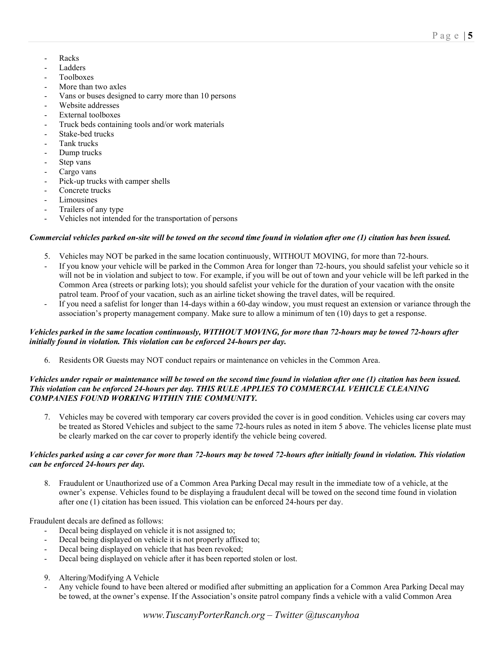- Racks
- **Ladders**
- Toolboxes
- More than two axles
- Vans or buses designed to carry more than 10 persons
- Website addresses
- External toolboxes
- Truck beds containing tools and/or work materials
- Stake-bed trucks
- Tank trucks
- Dump trucks
- Step vans
- Cargo vans
- Pick-up trucks with camper shells
- Concrete trucks
- **Limousines**
- Trailers of any type
- Vehicles not intended for the transportation of persons

#### Commercial vehicles parked on-site will be towed on the second time found in violation after one (1) citation has been issued.

- 5. Vehicles may NOT be parked in the same location continuously, WITHOUT MOVING, for more than 72-hours.
- If you know your vehicle will be parked in the Common Area for longer than 72-hours, you should safelist your vehicle so it will not be in violation and subject to tow. For example, if you will be out of town and your vehicle will be left parked in the Common Area (streets or parking lots); you should safelist your vehicle for the duration of your vacation with the onsite patrol team. Proof of your vacation, such as an airline ticket showing the travel dates, will be required.
- If you need a safelist for longer than 14-days within a 60-day window, you must request an extension or variance through the association's property management company. Make sure to allow a minimum of ten (10) days to get a response.

#### Vehicles parked in the same location continuously, WITHOUT MOVING, for more than 72-hours may be towed 72-hours after *initially found in violation. This violation can be enforced 24-hours per day.*

6. Residents OR Guests may NOT conduct repairs or maintenance on vehicles in the Common Area.

## *Vehicles under repair or maintenance will be towed on the second time found in violation after one (1) citation has been issued. This violation can be enforced 24-hours per day. THIS RULE APPLIES TO COMMERCIAL VEHICLE CLEANING COMPANIES FOUND WORKING WITHIN THE COMMUNITY.*

7. Vehicles may be covered with temporary car covers provided the cover is in good condition. Vehicles using car covers may be treated as Stored Vehicles and subject to the same 72-hours rules as noted in item 5 above. The vehicles license plate must be clearly marked on the car cover to properly identify the vehicle being covered.

#### *Vehicles parked using a car cover for more than 72-hours may be towed 72-hours after initially found in violation. This violation can be enforced 24-hours per day.*

8. Fraudulent or Unauthorized use of a Common Area Parking Decal may result in the immediate tow of a vehicle, at the owner's expense. Vehicles found to be displaying a fraudulent decal will be towed on the second time found in violation after one (1) citation has been issued. This violation can be enforced 24-hours per day.

Fraudulent decals are defined as follows:

- Decal being displayed on vehicle it is not assigned to;
- Decal being displayed on vehicle it is not properly affixed to;
- Decal being displayed on vehicle that has been revoked;
- Decal being displayed on vehicle after it has been reported stolen or lost.
- 9. Altering/Modifying A Vehicle
- Any vehicle found to have been altered or modified after submitting an application for a Common Area Parking Decal may be towed, at the owner's expense. If the Association's onsite patrol company finds a vehicle with a valid Common Area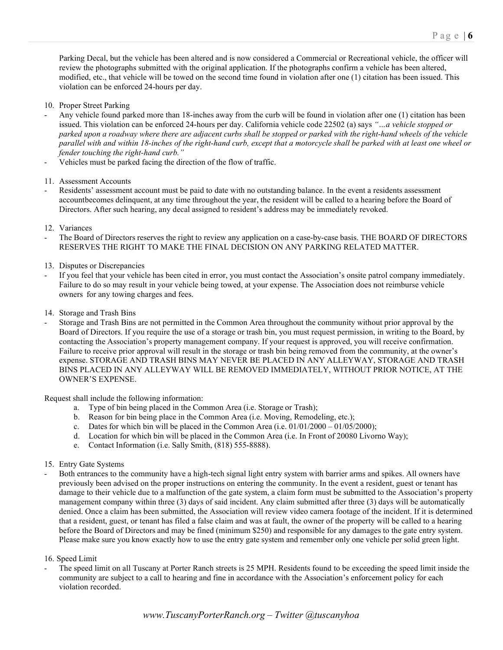- 10. Proper Street Parking
- Any vehicle found parked more than 18-inches away from the curb will be found in violation after one (1) citation has been issued. This violation can be enforced 24-hours per day. California vehicle code 22502 (a) says *"…a vehicle stopped or parked upon a roadway where there are adjacent curbs shall be stopped or parked with the right-hand wheels of the vehicle parallel with and within 18-inches of the right-hand curb, except that a motorcycle shall be parked with at least one wheel or fender touching the right-hand curb."*
- Vehicles must be parked facing the direction of the flow of traffic.

11. Assessment Accounts

- Residents' assessment account must be paid to date with no outstanding balance. In the event a residents assessment accountbecomes delinquent, at any time throughout the year, the resident will be called to a hearing before the Board of Directors. After such hearing, any decal assigned to resident's address may be immediately revoked.
- 12. Variances
- The Board of Directors reserves the right to review any application on a case-by-case basis. THE BOARD OF DIRECTORS RESERVES THE RIGHT TO MAKE THE FINAL DECISION ON ANY PARKING RELATED MATTER.
- 13. Disputes or Discrepancies
- If you feel that your vehicle has been cited in error, you must contact the Association's onsite patrol company immediately. Failure to do so may result in your vehicle being towed, at your expense. The Association does not reimburse vehicle owners for any towing charges and fees.
- 14. Storage and Trash Bins
- Storage and Trash Bins are not permitted in the Common Area throughout the community without prior approval by the Board of Directors. If you require the use of a storage or trash bin, you must request permission, in writing to the Board, by contacting the Association's property management company. If your request is approved, you will receive confirmation. Failure to receive prior approval will result in the storage or trash bin being removed from the community, at the owner's expense. STORAGE AND TRASH BINS MAY NEVER BE PLACED IN ANY ALLEYWAY, STORAGE AND TRASH BINS PLACED IN ANY ALLEYWAY WILL BE REMOVED IMMEDIATELY, WITHOUT PRIOR NOTICE, AT THE OWNER'S EXPENSE.

Request shall include the following information:

- a. Type of bin being placed in the Common Area (i.e. Storage or Trash);
- b. Reason for bin being place in the Common Area (i.e. Moving, Remodeling, etc.);
- c. Dates for which bin will be placed in the Common Area (i.e.  $01/01/2000 01/05/2000$ );
- d. Location for which bin will be placed in the Common Area (i.e. In Front of 20080 Livorno Way);
- e. Contact Information (i.e. Sally Smith, (818) 555-8888).
- 15. Entry Gate Systems
- Both entrances to the community have a high-tech signal light entry system with barrier arms and spikes. All owners have previously been advised on the proper instructions on entering the community. In the event a resident, guest or tenant has damage to their vehicle due to a malfunction of the gate system, a claim form must be submitted to the Association's property management company within three (3) days of said incident. Any claim submitted after three (3) days will be automatically denied. Once a claim has been submitted, the Association will review video camera footage of the incident. If it is determined that a resident, guest, or tenant has filed a false claim and was at fault, the owner of the property will be called to a hearing before the Board of Directors and may be fined (minimum \$250) and responsible for any damages to the gate entry system. Please make sure you know exactly how to use the entry gate system and remember only one vehicle per solid green light.

#### 16. Speed Limit

The speed limit on all Tuscany at Porter Ranch streets is 25 MPH. Residents found to be exceeding the speed limit inside the community are subject to a call to hearing and fine in accordance with the Association's enforcement policy for each violation recorded.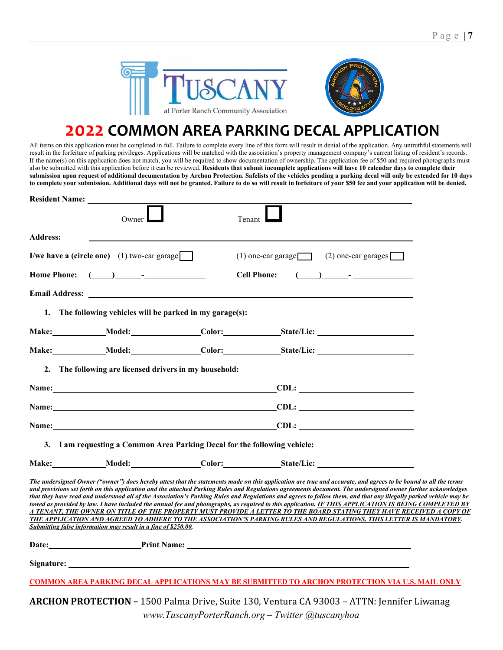

## **2022 COMMON AREA PARKING DECAL APPLICATION**

All items on this application must be completed in full. Failure to complete every line of this form will result in denial of the application. Any untruthful statements will result in the forfeiture of parking privileges. Applications will be matched with the association's property management company's current listing of resident's records. If the name(s) on this application does not match, you will be required to show documentation of ownership. The application fee of \$50 and required photographs must also be submitted with this application before it can be reviewed. **Residents that submit incomplete applications will have 10 calendar days to complete their submission upon request of additional documentation by Archon Protection. Safelists of the vehicles pending a parking decal will only be extended for 10 days** to complete your submission. Additional days will not be granted. Failure to do so will result in forfeiture of your \$50 fee and your application will be denied.

| <b>Resident Name:</b> |                                                                                                                                                                                                                                      |                                                                                                                                                                                                                                                                                                                                                                                                                                                                                                                                                                                                                                                                                                                                                                                                                                                                                                          |  |
|-----------------------|--------------------------------------------------------------------------------------------------------------------------------------------------------------------------------------------------------------------------------------|----------------------------------------------------------------------------------------------------------------------------------------------------------------------------------------------------------------------------------------------------------------------------------------------------------------------------------------------------------------------------------------------------------------------------------------------------------------------------------------------------------------------------------------------------------------------------------------------------------------------------------------------------------------------------------------------------------------------------------------------------------------------------------------------------------------------------------------------------------------------------------------------------------|--|
|                       | Owner                                                                                                                                                                                                                                | Tenant                                                                                                                                                                                                                                                                                                                                                                                                                                                                                                                                                                                                                                                                                                                                                                                                                                                                                                   |  |
| <b>Address:</b>       |                                                                                                                                                                                                                                      |                                                                                                                                                                                                                                                                                                                                                                                                                                                                                                                                                                                                                                                                                                                                                                                                                                                                                                          |  |
|                       | I/we have a (circle one) $(1)$ two-car garage                                                                                                                                                                                        | $(2)$ one-car garages<br>$(1)$ one-car garage                                                                                                                                                                                                                                                                                                                                                                                                                                                                                                                                                                                                                                                                                                                                                                                                                                                            |  |
| <b>Home Phone:</b>    | $\begin{array}{ccc} \hline \end{array}$                                                                                                                                                                                              | <b>Cell Phone:</b><br>$\begin{array}{ccc} \hline \end{array}$                                                                                                                                                                                                                                                                                                                                                                                                                                                                                                                                                                                                                                                                                                                                                                                                                                            |  |
|                       | Email Address: <u>Demonstration of the second contract of the second contract of the second contract of the second contract of the second contract of the second contract of the second contract of the second contract of the s</u> |                                                                                                                                                                                                                                                                                                                                                                                                                                                                                                                                                                                                                                                                                                                                                                                                                                                                                                          |  |
|                       | 1. The following vehicles will be parked in my garage(s):                                                                                                                                                                            |                                                                                                                                                                                                                                                                                                                                                                                                                                                                                                                                                                                                                                                                                                                                                                                                                                                                                                          |  |
|                       |                                                                                                                                                                                                                                      | Make: Model: Color: State/Lic: Make: Model: Color: State/Lic:                                                                                                                                                                                                                                                                                                                                                                                                                                                                                                                                                                                                                                                                                                                                                                                                                                            |  |
|                       |                                                                                                                                                                                                                                      |                                                                                                                                                                                                                                                                                                                                                                                                                                                                                                                                                                                                                                                                                                                                                                                                                                                                                                          |  |
|                       | 2. The following are licensed drivers in my household:                                                                                                                                                                               |                                                                                                                                                                                                                                                                                                                                                                                                                                                                                                                                                                                                                                                                                                                                                                                                                                                                                                          |  |
|                       |                                                                                                                                                                                                                                      | Name: CDL:                                                                                                                                                                                                                                                                                                                                                                                                                                                                                                                                                                                                                                                                                                                                                                                                                                                                                               |  |
|                       |                                                                                                                                                                                                                                      | Name: CDL:                                                                                                                                                                                                                                                                                                                                                                                                                                                                                                                                                                                                                                                                                                                                                                                                                                                                                               |  |
|                       |                                                                                                                                                                                                                                      | Name: CDL:                                                                                                                                                                                                                                                                                                                                                                                                                                                                                                                                                                                                                                                                                                                                                                                                                                                                                               |  |
|                       | 3. I am requesting a Common Area Parking Decal for the following vehicle:                                                                                                                                                            |                                                                                                                                                                                                                                                                                                                                                                                                                                                                                                                                                                                                                                                                                                                                                                                                                                                                                                          |  |
|                       |                                                                                                                                                                                                                                      | Make: Model: Color: State/Lic:                                                                                                                                                                                                                                                                                                                                                                                                                                                                                                                                                                                                                                                                                                                                                                                                                                                                           |  |
|                       | Submitting false information may result in a fine of \$250.00.                                                                                                                                                                       | The undersigned Owner ("owner") does hereby attest that the statements made on this application are true and accurate, and agrees to be bound to all the terms<br>and provisions set forth on this application and the attached Parking Rules and Regulations agreements document. The undersigned owner further acknowledges<br>that they have read and understood all of the Association's Parking Rules and Regulations and agrees to follow them, and that any illegally parked vehicle may be<br>towed as provided by law. I have included the annual fee and photographs, as required to this application. IF THIS APPLICATION IS BEING COMPLETED BY<br>A TENANT, THE OWNER ON TITLE OF THE PROPERTY MUST PROVIDE A LETTER TO THE BOARD STATING THEY HAVE RECEIVED A COPY OF<br>THE APPLICATION AND AGREED TO ADHERE TO THE ASSOCIATION'S PARKING RULES AND REGULATIONS. THIS LETTER IS MANDATORY. |  |
|                       |                                                                                                                                                                                                                                      | Date: <u>Print Name:</u> Print Name:                                                                                                                                                                                                                                                                                                                                                                                                                                                                                                                                                                                                                                                                                                                                                                                                                                                                     |  |
|                       |                                                                                                                                                                                                                                      |                                                                                                                                                                                                                                                                                                                                                                                                                                                                                                                                                                                                                                                                                                                                                                                                                                                                                                          |  |
|                       |                                                                                                                                                                                                                                      | <b>COMMON AREA PARKING DECAL APPLICATIONS MAY BE SUBMITTED TO ARCHON PROTECTION VIA U.S. MAIL ONLY</b>                                                                                                                                                                                                                                                                                                                                                                                                                                                                                                                                                                                                                                                                                                                                                                                                   |  |
|                       |                                                                                                                                                                                                                                      | $\overline{1}$                                                                                                                                                                                                                                                                                                                                                                                                                                                                                                                                                                                                                                                                                                                                                                                                                                                                                           |  |

*[www.TuscanyPorterRanch.org](http://www.tuscanyporterranch.org/) – Twitter @tuscanyhoa* **ARCHON PROTECTION –** 1500 Palma Drive, Suite 130, Ventura CA 93003 – ATTN: Jennifer Liwanag